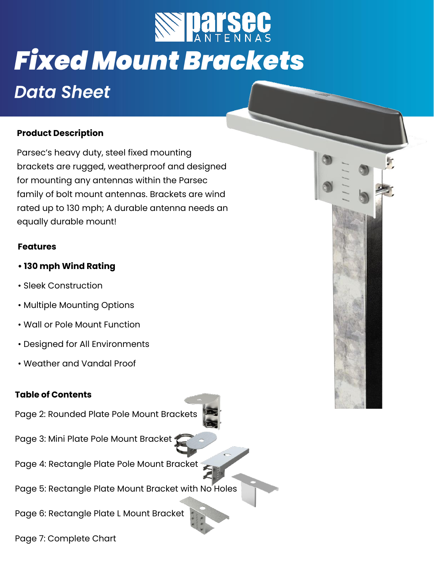

# **Fixed Mount Brackets**

# **Data Sheet**

#### **Product Description**

Parsec's heavy duty, steel fixed mounting brackets are rugged, weatherproof and designed for mounting any antennas within the Parsec family of bolt mount antennas. Brackets are wind rated up to 130 mph; A durable antenna needs an equally durable mount!

#### **Features**

- **130 mph Wind Rating**
- Sleek Construction
- Multiple Mounting Options
- Wall or Pole Mount Function
- Designed for All Environments
- Weather and Vandal Proof

#### **Table of Contents**

Page 2: Rounded Plate Pole Mount Brackets

Page 3: Mini Plate Pole Mount Bracket 1

- Page 4: Rectangle Plate Pole Mount Bracket
- Page 5: Rectangle Plate Mount Bracket with No Holes

Page 6: Rectangle Plate L Mount Bracket

Page 7: Complete Chart

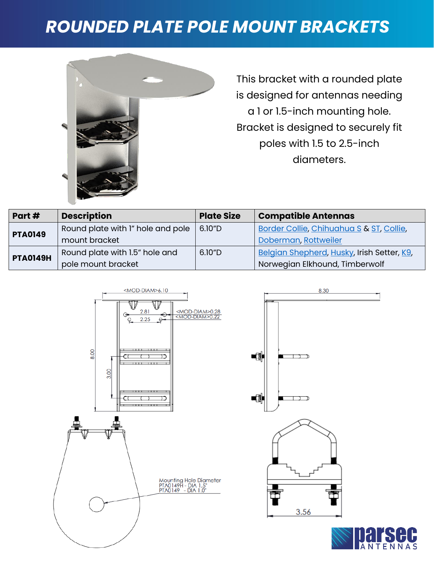### *ROUNDED PLATE POLE MOUNT BRACKETS*



This bracket with a rounded plate is designed for antennas needing a 1 or 1.5-inch mounting hole. Bracket is designed to securely fit poles with 1.5 to 2.5-inch diameters.

| Part#           | <b>Description</b>                | <b>Plate Size</b> | <b>Compatible Antennas</b>                 |  |
|-----------------|-----------------------------------|-------------------|--------------------------------------------|--|
| <b>PTA0149</b>  | Round plate with I" hole and pole | 6.10"D            | Border Collie, Chihuahua S & ST, Collie,   |  |
|                 | mount bracket                     |                   | Doberman, Rottweiler                       |  |
| <b>PTA0149H</b> | Round plate with 1.5" hole and    | 6.10"D            | Belgian Shepherd, Husky, Irish Setter, K9, |  |
|                 | pole mount bracket                |                   | Norwegian Elkhound, Timberwolf             |  |





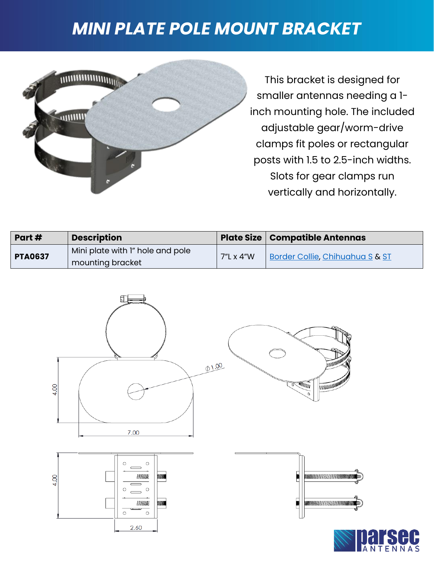### *MINI PLATE POLE MOUNT BRACKET*



This bracket is designed for smaller antennas needing a 1 inch mounting hole. The included adjustable gear/worm-drive clamps fit poles or rectangular posts with 1.5 to 2.5-inch widths. Slots for gear clamps run vertically and horizontally.

| Part#          | <b>Description</b>               |           | <b>Plate Size   Compatible Antennas</b> |
|----------------|----------------------------------|-----------|-----------------------------------------|
| <b>PTA0637</b> | Mini plate with I" hole and pole | 7"L x 4"W | Border Collie, Chihuahua S & ST         |
|                | mounting bracket                 |           |                                         |

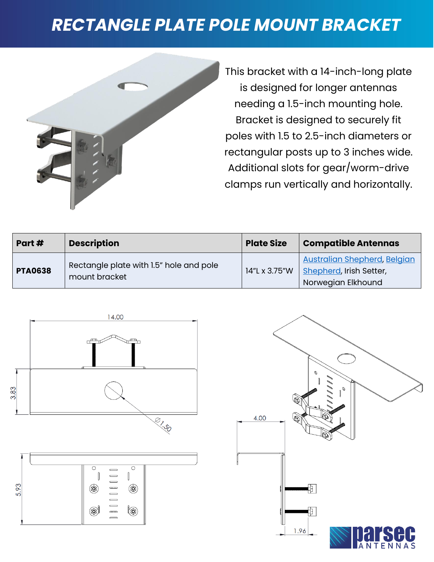### *RECTANGLE PLATE POLE MOUNT BRACKET*



This bracket with a 14-inch-long plate is designed for longer antennas needing a 1.5-inch mounting hole. Bracket is designed to securely fit poles with 1.5 to 2.5-inch diameters or rectangular posts up to 3 inches wide. Additional slots for gear/worm-drive clamps run vertically and horizontally.

| Part#          | <b>Description</b>                                       | <b>Plate Size</b> | <b>Compatible Antennas</b>                                                           |
|----------------|----------------------------------------------------------|-------------------|--------------------------------------------------------------------------------------|
| <b>PTA0638</b> | Rectangle plate with 1.5" hole and pole<br>mount bracket | 14"L x 3.75"W     | <b>Australian Shepherd, Belgian</b><br>Shepherd, Irish Setter,<br>Norwegian Elkhound |





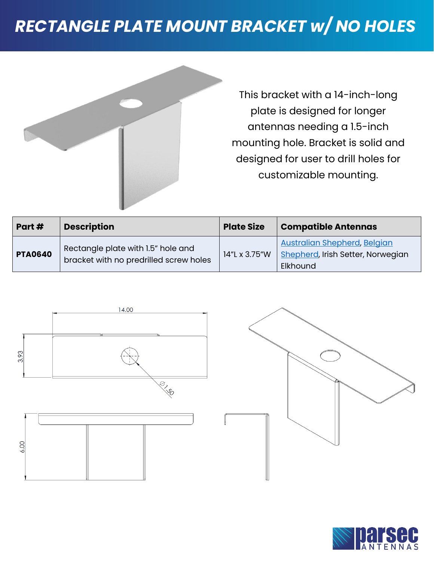# *RECTANGLE PLATE MOUNT BRACKET w/ NO HOLES*



This bracket with a 14-inch-long plate is designed for longer antennas needing a 1.5-inch mounting hole. Bracket is solid and designed for user to drill holes for customizable mounting.

| Part#          | <b>Description</b>                                                           | <b>Plate Size</b> | <b>Compatible Antennas</b>                                                           |
|----------------|------------------------------------------------------------------------------|-------------------|--------------------------------------------------------------------------------------|
| <b>PTA0640</b> | Rectangle plate with 1.5" hole and<br>bracket with no predrilled screw holes | 14"L x 3.75"W     | <b>Australian Shepherd, Belgian</b><br>Shepherd, Irish Setter, Norwegian<br>Elkhound |



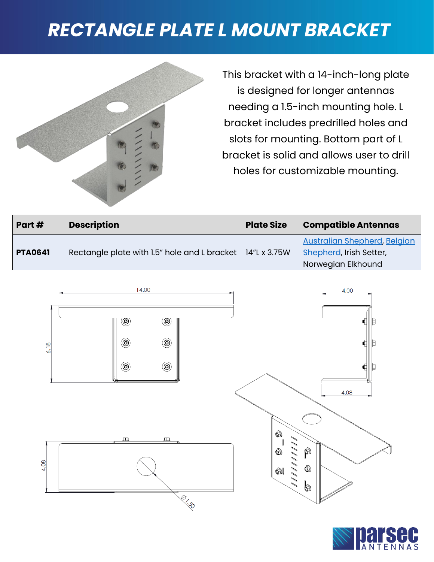# *RECTANGLE PLATE L MOUNT BRACKET*



This bracket with a 14-inch-long plate is designed for longer antennas needing a 1.5-inch mounting hole. L bracket includes predrilled holes and slots for mounting. Bottom part of L bracket is solid and allows user to drill holes for customizable mounting.

| Part#          | <b>Description</b>                                          | <b>Plate Size</b> | <b>Compatible Antennas</b>                                                           |
|----------------|-------------------------------------------------------------|-------------------|--------------------------------------------------------------------------------------|
| <b>PTA0641</b> | Rectangle plate with 1.5" hole and L bracket   14"L x 3.75W |                   | <b>Australian Shepherd, Belgian</b><br>Shepherd, Irish Setter,<br>Norwegian Elkhound |